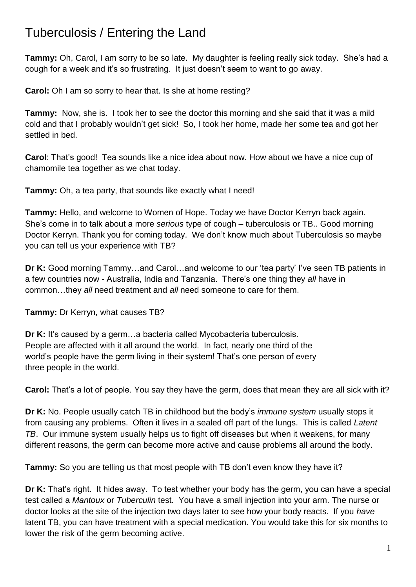## Tuberculosis / Entering the Land

**Tammy:** Oh, Carol, I am sorry to be so late. My daughter is feeling really sick today. She's had a cough for a week and it's so frustrating. It just doesn't seem to want to go away.

**Carol:** Oh I am so sorry to hear that. Is she at home resting?

**Tammy:** Now, she is. I took her to see the doctor this morning and she said that it was a mild cold and that I probably wouldn't get sick! So, I took her home, made her some tea and got her settled in bed.

**Carol**: That's good! Tea sounds like a nice idea about now. How about we have a nice cup of chamomile tea together as we chat today.

**Tammy:** Oh, a tea party, that sounds like exactly what I need!

**Tammy:** Hello, and welcome to Women of Hope. Today we have Doctor Kerryn back again. She's come in to talk about a more *serious* type of cough – tuberculosis or TB.. Good morning Doctor Kerryn. Thank you for coming today. We don't know much about Tuberculosis so maybe you can tell us your experience with TB?

**Dr K:** Good morning Tammy…and Carol…and welcome to our 'tea party' I've seen TB patients in a few countries now - Australia, India and Tanzania. There's one thing they *all* have in common…they *all* need treatment and *all* need someone to care for them.

**Tammy:** Dr Kerryn, what causes TB?

**Dr K:** It's caused by a germ…a bacteria called Mycobacteria tuberculosis. People are affected with it all around the world. In fact, nearly one third of the world's people have the germ living in their system! That's one person of every three people in the world.

**Carol:** That's a lot of people. You say they have the germ, does that mean they are all sick with it?

**Dr K:** No. People usually catch TB in childhood but the body's *immune system* usually stops it from causing any problems. Often it lives in a sealed off part of the lungs. This is called *Latent TB*. Our immune system usually helps us to fight off diseases but when it weakens, for many different reasons, the germ can become more active and cause problems all around the body.

**Tammy:** So you are telling us that most people with TB don't even know they have it?

**Dr K:** That's right. It hides away. To test whether your body has the germ, you can have a special test called a *Mantoux* or *Tuberculin* test. You have a small injection into your arm. The nurse or doctor looks at the site of the injection two days later to see how your body reacts. If you *have* latent TB, you can have treatment with a special medication. You would take this for six months to lower the risk of the germ becoming active.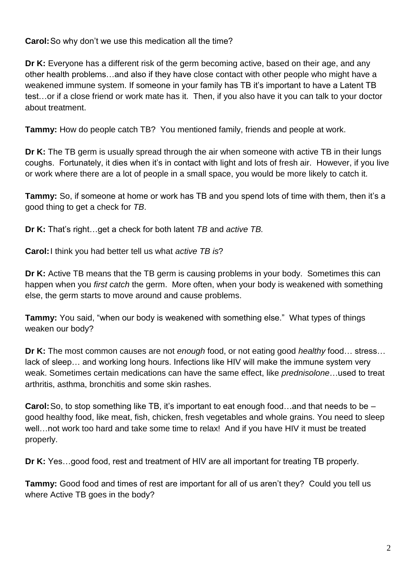**Carol:**So why don't we use this medication all the time?

**Dr K:** Everyone has a different risk of the germ becoming active, based on their age, and any other health problems…and also if they have close contact with other people who might have a weakened immune system. If someone in your family has TB it's important to have a Latent TB test…or if a close friend or work mate has it. Then, if you also have it you can talk to your doctor about treatment.

**Tammy:** How do people catch TB? You mentioned family, friends and people at work.

**Dr K:** The TB germ is usually spread through the air when someone with active TB in their lungs coughs. Fortunately, it dies when it's in contact with light and lots of fresh air. However, if you live or work where there are a lot of people in a small space, you would be more likely to catch it.

**Tammy:** So, if someone at home or work has TB and you spend lots of time with them, then it's a good thing to get a check for *TB*.

**Dr K:** That's right…get a check for both latent *TB* and *active TB.*

**Carol:**I think you had better tell us what *active TB is*?

**Dr K:** Active TB means that the TB germ is causing problems in your body. Sometimes this can happen when you *first catch* the germ. More often, when your body is weakened with something else, the germ starts to move around and cause problems.

**Tammy:** You said, "when our body is weakened with something else." What types of things weaken our body?

**Dr K:** The most common causes are not *enough* food, or not eating good *healthy* food… stress… lack of sleep… and working long hours. Infections like HIV will make the immune system very weak. Sometimes certain medications can have the same effect, like *prednisolone*…used to treat arthritis, asthma, bronchitis and some skin rashes.

**Carol:**So, to stop something like TB, it's important to eat enough food…and that needs to be – good healthy food, like meat, fish, chicken, fresh vegetables and whole grains. You need to sleep well…not work too hard and take some time to relax! And if you have HIV it must be treated properly.

**Dr K:** Yes…good food, rest and treatment of HIV are all important for treating TB properly.

**Tammy:** Good food and times of rest are important for all of us aren't they? Could you tell us where Active TB goes in the body?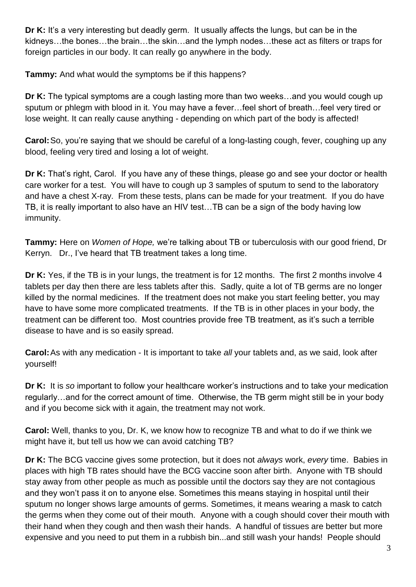**Dr K:** It's a very interesting but deadly germ. It usually affects the lungs, but can be in the kidneys…the bones…the brain…the skin…and the lymph nodes…these act as filters or traps for foreign particles in our body. It can really go anywhere in the body.

**Tammy:** And what would the symptoms be if this happens?

**Dr K:** The typical symptoms are a cough lasting more than two weeks…and you would cough up sputum or phlegm with blood in it. You may have a fever…feel short of breath…feel very tired or lose weight. It can really cause anything - depending on which part of the body is affected!

**Carol:**So, you're saying that we should be careful of a long-lasting cough, fever, coughing up any blood, feeling very tired and losing a lot of weight.

**Dr K:** That's right, Carol. If you have any of these things, please go and see your doctor or health care worker for a test. You will have to cough up 3 samples of sputum to send to the laboratory and have a chest X-ray. From these tests, plans can be made for your treatment. If you do have TB, it is really important to also have an HIV test…TB can be a sign of the body having low immunity.

**Tammy:** Here on *Women of Hope,* we're talking about TB or tuberculosis with our good friend, Dr Kerryn. Dr., I've heard that TB treatment takes a long time.

**Dr K:** Yes, if the TB is in your lungs, the treatment is for 12 months. The first 2 months involve 4 tablets per day then there are less tablets after this. Sadly, quite a lot of TB germs are no longer killed by the normal medicines. If the treatment does not make you start feeling better, you may have to have some more complicated treatments. If the TB is in other places in your body, the treatment can be different too. Most countries provide free TB treatment, as it's such a terrible disease to have and is so easily spread.

**Carol:**As with any medication - It is important to take *all* your tablets and, as we said, look after yourself!

**Dr K:** It is *so* important to follow your healthcare worker's instructions and to take your medication regularly…and for the correct amount of time. Otherwise, the TB germ might still be in your body and if you become sick with it again, the treatment may not work.

**Carol:** Well, thanks to you, Dr. K, we know how to recognize TB and what to do if we think we might have it, but tell us how we can avoid catching TB?

**Dr K:** The BCG vaccine gives some protection, but it does not *always* work, *every* time. Babies in places with high TB rates should have the BCG vaccine soon after birth. Anyone with TB should stay away from other people as much as possible until the doctors say they are not contagious and they won't pass it on to anyone else. Sometimes this means staying in hospital until their sputum no longer shows large amounts of germs. Sometimes, it means wearing a mask to catch the germs when they come out of their mouth. Anyone with a cough should cover their mouth with their hand when they cough and then wash their hands. A handful of tissues are better but more expensive and you need to put them in a rubbish bin...and still wash your hands! People should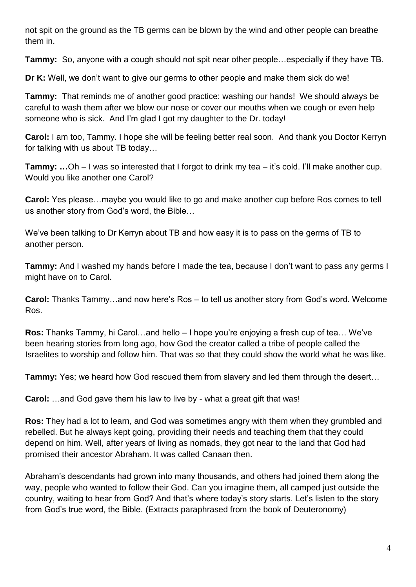not spit on the ground as the TB germs can be blown by the wind and other people can breathe them in.

**Tammy:** So, anyone with a cough should not spit near other people…especially if they have TB.

**Dr K:** Well, we don't want to give our germs to other people and make them sick do we!

**Tammy:** That reminds me of another good practice: washing our hands! We should always be careful to wash them after we blow our nose or cover our mouths when we cough or even help someone who is sick. And I'm glad I got my daughter to the Dr. today!

**Carol:** I am too, Tammy. I hope she will be feeling better real soon. And thank you Doctor Kerryn for talking with us about TB today…

**Tammy:** ...Oh – I was so interested that I forgot to drink my tea – it's cold. I'll make another cup. Would you like another one Carol?

**Carol:** Yes please…maybe you would like to go and make another cup before Ros comes to tell us another story from God's word, the Bible…

We've been talking to Dr Kerryn about TB and how easy it is to pass on the germs of TB to another person.

**Tammy:** And I washed my hands before I made the tea, because I don't want to pass any germs I might have on to Carol.

**Carol:** Thanks Tammy…and now here's Ros – to tell us another story from God's word. Welcome Ros.

**Ros:** Thanks Tammy, hi Carol…and hello – I hope you're enjoying a fresh cup of tea… We've been hearing stories from long ago, how God the creator called a tribe of people called the Israelites to worship and follow him. That was so that they could show the world what he was like.

**Tammy:** Yes; we heard how God rescued them from slavery and led them through the desert…

**Carol:** …and God gave them his law to live by - what a great gift that was!

**Ros:** They had a lot to learn, and God was sometimes angry with them when they grumbled and rebelled. But he always kept going, providing their needs and teaching them that they could depend on him. Well, after years of living as nomads, they got near to the land that God had promised their ancestor Abraham. It was called Canaan then.

Abraham's descendants had grown into many thousands, and others had joined them along the way, people who wanted to follow their God. Can you imagine them, all camped just outside the country, waiting to hear from God? And that's where today's story starts. Let's listen to the story from God's true word, the Bible. (Extracts paraphrased from the book of Deuteronomy)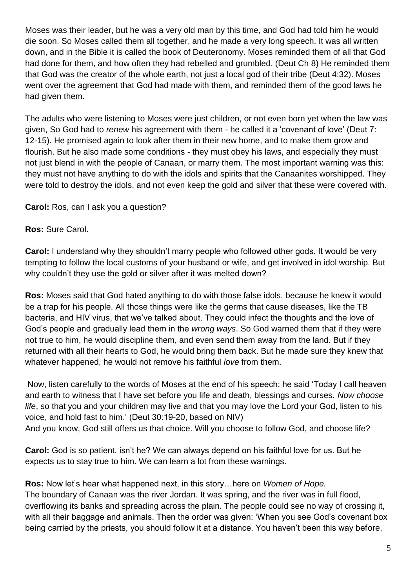Moses was their leader, but he was a very old man by this time, and God had told him he would die soon. So Moses called them all together, and he made a very long speech. It was all written down, and in the Bible it is called the book of Deuteronomy. Moses reminded them of all that God had done for them, and how often they had rebelled and grumbled. (Deut Ch 8) He reminded them that God was the creator of the whole earth, not just a local god of their tribe (Deut 4:32). Moses went over the agreement that God had made with them, and reminded them of the good laws he had given them.

The adults who were listening to Moses were just children, or not even born yet when the law was given, So God had to *renew* his agreement with them - he called it a 'covenant of love' (Deut 7: 12-15). He promised again to look after them in their new home, and to make them grow and flourish. But he also made some conditions - they must obey his laws, and especially they must not just blend in with the people of Canaan, or marry them. The most important warning was this: they must not have anything to do with the idols and spirits that the Canaanites worshipped. They were told to destroy the idols, and not even keep the gold and silver that these were covered with.

**Carol:** Ros, can I ask you a question?

**Ros:** Sure Carol.

**Carol:** I understand why they shouldn't marry people who followed other gods. It would be very tempting to follow the local customs of your husband or wife, and get involved in idol worship. But why couldn't they use the gold or silver after it was melted down?

**Ros:** Moses said that God hated anything to do with those false idols, because he knew it would be a trap for his people. All those things were like the germs that cause diseases, like the TB bacteria, and HIV virus, that we've talked about. They could infect the thoughts and the love of God's people and gradually lead them in the *wrong ways*. So God warned them that if they were not true to him, he would discipline them, and even send them away from the land. But if they returned with all their hearts to God, he would bring them back. But he made sure they knew that whatever happened, he would not remove his faithful *love* from them.

Now, listen carefully to the words of Moses at the end of his speech: he said 'Today I call heaven and earth to witness that I have set before you life and death, blessings and curses. *Now choose life*, so that you and your children may live and that you may love the Lord your God, listen to his voice, and hold fast to him.' (Deut 30:19-20, based on NIV) And you know, God still offers us that choice. Will you choose to follow God, and choose life?

**Carol:** God is so patient, isn't he? We can always depend on his faithful love for us. But he expects us to stay true to him. We can learn a lot from these warnings.

**Ros:** Now let's hear what happened next, in this story…here on *Women of Hope.* The boundary of Canaan was the river Jordan. It was spring, and the river was in full flood, overflowing its banks and spreading across the plain. The people could see no way of crossing it, with all their baggage and animals. Then the order was given: 'When you see God's covenant box being carried by the priests, you should follow it at a distance. You haven't been this way before,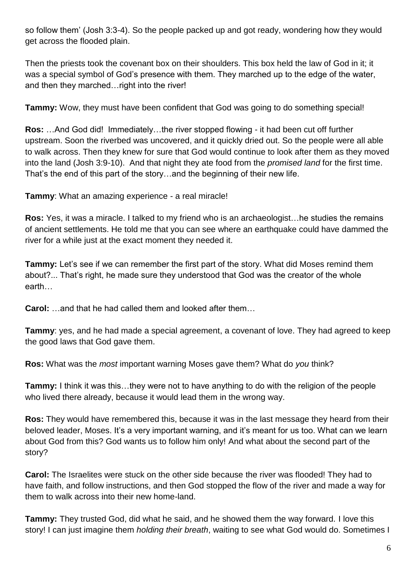so follow them' (Josh 3:3-4). So the people packed up and got ready, wondering how they would get across the flooded plain.

Then the priests took the covenant box on their shoulders. This box held the law of God in it; it was a special symbol of God's presence with them. They marched up to the edge of the water, and then they marched…right into the river!

**Tammy:** Wow, they must have been confident that God was going to do something special!

**Ros:** …And God did! Immediately…the river stopped flowing - it had been cut off further upstream. Soon the riverbed was uncovered, and it quickly dried out. So the people were all able to walk across. Then they knew for sure that God would continue to look after them as they moved into the land (Josh 3:9-10). And that night they ate food from the *promised land* for the first time. That's the end of this part of the story…and the beginning of their new life.

**Tammy**: What an amazing experience - a real miracle!

**Ros:** Yes, it was a miracle. I talked to my friend who is an archaeologist…he studies the remains of ancient settlements. He told me that you can see where an earthquake could have dammed the river for a while just at the exact moment they needed it.

**Tammy:** Let's see if we can remember the first part of the story. What did Moses remind them about?... That's right, he made sure they understood that God was the creator of the whole earth…

**Carol:** …and that he had called them and looked after them…

**Tammy**: yes, and he had made a special agreement, a covenant of love. They had agreed to keep the good laws that God gave them.

**Ros:** What was the *most* important warning Moses gave them? What do *you* think?

**Tammy:** I think it was this…they were not to have anything to do with the religion of the people who lived there already, because it would lead them in the wrong way.

**Ros:** They would have remembered this, because it was in the last message they heard from their beloved leader, Moses. It's a very important warning, and it's meant for us too. What can we learn about God from this? God wants us to follow him only! And what about the second part of the story?

**Carol:** The Israelites were stuck on the other side because the river was flooded! They had to have faith, and follow instructions, and then God stopped the flow of the river and made a way for them to walk across into their new home-land.

**Tammy:** They trusted God, did what he said, and he showed them the way forward. I love this story! I can just imagine them *holding their breath*, waiting to see what God would do. Sometimes I